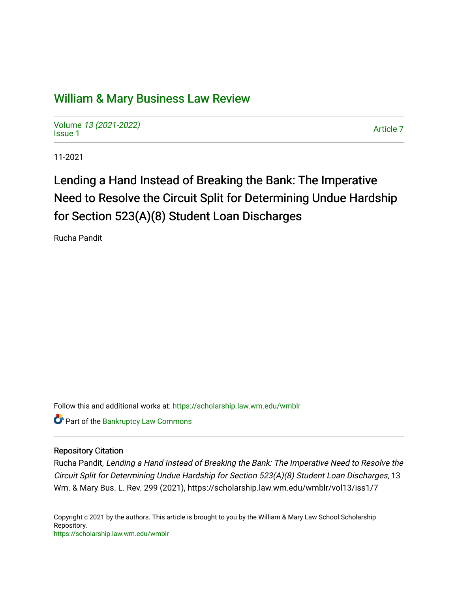## [William & Mary Business Law Review](https://scholarship.law.wm.edu/wmblr)

Volume [13 \(2021-2022\)](https://scholarship.law.wm.edu/wmblr/vol13)  volume 15 (2021-2022)<br>[Issue 1](https://scholarship.law.wm.edu/wmblr/vol13/iss1)

11-2021

# Lending a Hand Instead of Breaking the Bank: The Imperative Need to Resolve the Circuit Split for Determining Undue Hardship for Section 523(A)(8) Student Loan Discharges

Rucha Pandit

Follow this and additional works at: [https://scholarship.law.wm.edu/wmblr](https://scholarship.law.wm.edu/wmblr?utm_source=scholarship.law.wm.edu%2Fwmblr%2Fvol13%2Fiss1%2F7&utm_medium=PDF&utm_campaign=PDFCoverPages) 

**Part of the Bankruptcy Law Commons** 

### Repository Citation

Rucha Pandit, Lending a Hand Instead of Breaking the Bank: The Imperative Need to Resolve the Circuit Split for Determining Undue Hardship for Section 523(A)(8) Student Loan Discharges, 13 Wm. & Mary Bus. L. Rev. 299 (2021), https://scholarship.law.wm.edu/wmblr/vol13/iss1/7

Copyright c 2021 by the authors. This article is brought to you by the William & Mary Law School Scholarship Repository. <https://scholarship.law.wm.edu/wmblr>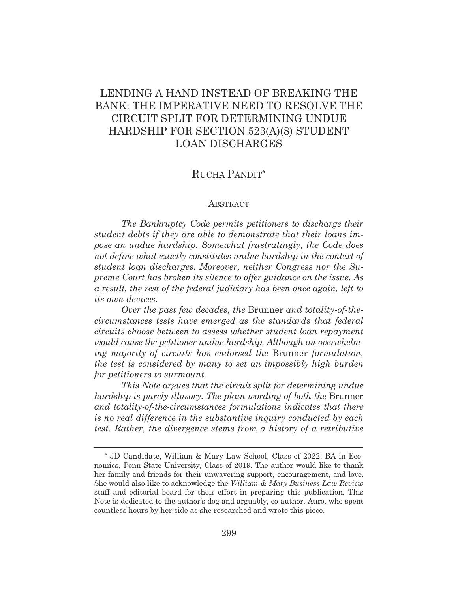## LENDING A HAND INSTEAD OF BREAKING THE BANK: THE IMPERATIVE NEED TO RESOLVE THE CIRCUIT SPLIT FOR DETERMINING UNDUE HARDSHIP FOR SECTION 523(A)(8) STUDENT LOAN DISCHARGES

## RUCHA PANDIT\*

#### ABSTRACT

*The Bankruptcy Code permits petitioners to discharge their student debts if they are able to demonstrate that their loans impose an undue hardship. Somewhat frustratingly, the Code does not define what exactly constitutes undue hardship in the context of student loan discharges. Moreover, neither Congress nor the Supreme Court has broken its silence to offer guidance on the issue. As a result, the rest of the federal judiciary has been once again, left to its own devices.* 

*Over the past few decades, the* Brunner *and totality-of-thecircumstances tests have emerged as the standards that federal circuits choose between to assess whether student loan repayment would cause the petitioner undue hardship. Although an overwhelming majority of circuits has endorsed the* Brunner *formulation, the test is considered by many to set an impossibly high burden for petitioners to surmount.* 

*This Note argues that the circuit split for determining undue hardship is purely illusory. The plain wording of both the* Brunner *and totality-of-the-circumstances formulations indicates that there is no real difference in the substantive inquiry conducted by each test. Rather, the divergence stems from a history of a retributive* 

<sup>\*</sup> JD Candidate, William & Mary Law School, Class of 2022. BA in Economics, Penn State University, Class of 2019. The author would like to thank her family and friends for their unwavering support, encouragement, and love. She would also like to acknowledge the *William & Mary Business Law Review* staff and editorial board for their effort in preparing this publication. This Note is dedicated to the author's dog and arguably, co-author, Auro, who spent countless hours by her side as she researched and wrote this piece.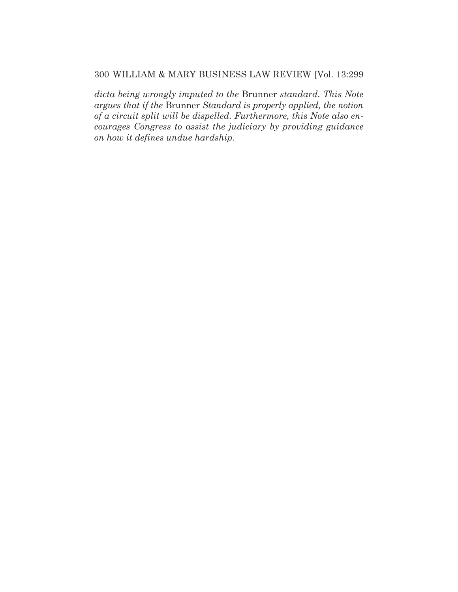*dicta being wrongly imputed to the* Brunner *standard. This Note argues that if the* Brunner *Standard is properly applied, the notion of a circuit split will be dispelled. Furthermore, this Note also encourages Congress to assist the judiciary by providing guidance on how it defines undue hardship.*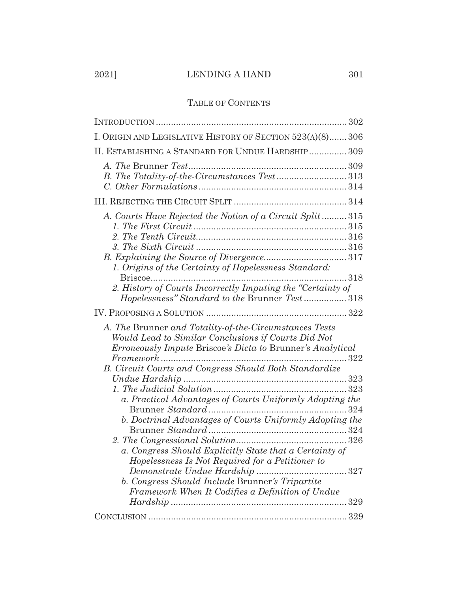## 2021] LENDING A HAND 301

| I. ORIGIN AND LEGISLATIVE HISTORY OF SECTION 523(A)(8) 306                                                                                                                                                                                 |  |
|--------------------------------------------------------------------------------------------------------------------------------------------------------------------------------------------------------------------------------------------|--|
| II. ESTABLISHING A STANDARD FOR UNDUE HARDSHIP  309                                                                                                                                                                                        |  |
| B. The Totality-of-the-Circumstances Test313                                                                                                                                                                                               |  |
|                                                                                                                                                                                                                                            |  |
| A. Courts Have Rejected the Notion of a Circuit Split315<br>1. Origins of the Certainty of Hopelessness Standard:<br>318<br>2. History of Courts Incorrectly Imputing the "Certainty of                                                    |  |
| Hopelessness" Standard to the Brunner Test318                                                                                                                                                                                              |  |
|                                                                                                                                                                                                                                            |  |
|                                                                                                                                                                                                                                            |  |
| A. The Brunner and Totality-of-the-Circumstances Tests<br>Would Lead to Similar Conclusions if Courts Did Not<br>Erroneously Impute Briscoe's Dicta to Brunner's Analytical<br>B. Circuit Courts and Congress Should Both Standardize      |  |
| a. Practical Advantages of Courts Uniformly Adopting the<br>324<br>b. Doctrinal Advantages of Courts Uniformly Adopting the<br>a. Congress Should Explicitly State that a Certainty of<br>Hopelessness Is Not Required for a Petitioner to |  |
| Demonstrate Undue Hardship<br>. 327<br>b. Congress Should Include Brunner's Tripartite<br>Framework When It Codifies a Definition of Undue                                                                                                 |  |
|                                                                                                                                                                                                                                            |  |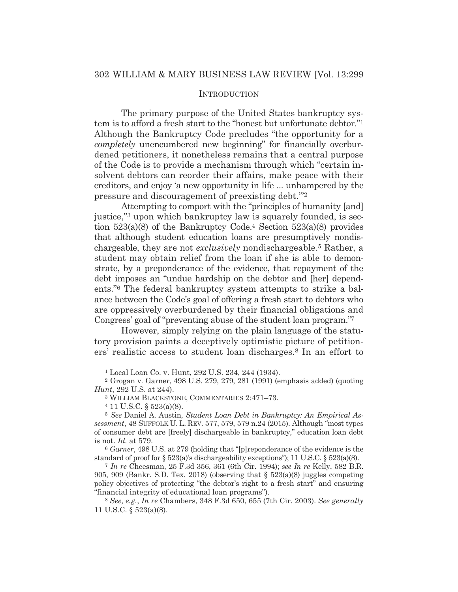#### **INTRODUCTION**

The primary purpose of the United States bankruptcy system is to afford a fresh start to the "honest but unfortunate debtor."1 Although the Bankruptcy Code precludes "the opportunity for a *completely* unencumbered new beginning" for financially overburdened petitioners, it nonetheless remains that a central purpose of the Code is to provide a mechanism through which "certain insolvent debtors can reorder their affairs, make peace with their creditors, and enjoy 'a new opportunity in life ... unhampered by the pressure and discouragement of preexisting debt.'"2

Attempting to comport with the "principles of humanity [and] justice,"3 upon which bankruptcy law is squarely founded, is section 523(a)(8) of the Bankruptcy Code.4 Section 523(a)(8) provides that although student education loans are presumptively nondischargeable, they are not *exclusively* nondischargeable.5 Rather, a student may obtain relief from the loan if she is able to demonstrate, by a preponderance of the evidence, that repayment of the debt imposes an "undue hardship on the debtor and [her] dependents."6 The federal bankruptcy system attempts to strike a balance between the Code's goal of offering a fresh start to debtors who are oppressively overburdened by their financial obligations and Congress' goal of "preventing abuse of the student loan program."7

However, simply relying on the plain language of the statutory provision paints a deceptively optimistic picture of petitioners' realistic access to student loan discharges.8 In an effort to

<sup>6</sup> *Garner*, 498 U.S. at 279 (holding that "[p]reponderance of the evidence is the standard of proof for  $\S 523(a)$ 's dischargeability exceptions''; 11 U.S.C.  $\S 523(a)(8)$ .

<sup>7</sup> *In re* Cheesman, 25 F.3d 356, 361 (6th Cir. 1994); *see In re* Kelly, 582 B.R. 905, 909 (Bankr. S.D. Tex. 2018) (observing that  $\S$  523(a)(8) juggles competing policy objectives of protecting "the debtor's right to a fresh start" and ensuring "financial integrity of educational loan programs").

<sup>1</sup> Local Loan Co. v. Hunt, 292 U.S. 234, 244 (1934).

<sup>2</sup> Grogan v. Garner, 498 U.S. 279, 279, 281 (1991) (emphasis added) (quoting *Hunt*, 292 U.S. at 244).

 $^3$  WILLIAM BLACKSTONE, COMMENTARIES 2:471–73.  $^4$  11 U.S.C.  $\S$  523(a)(8).

<sup>5</sup> *See* Daniel A. Austin, *Student Loan Debt in Bankruptcy: An Empirical Assessment*, 48 SUFFOLK U. L. REV. 577, 579, 579 n.24 (2015). Although "most types of consumer debt are [freely] dischargeable in bankruptcy," education loan debt is not. *Id.* at 579.

<sup>8</sup> *See, e.g.*, *In re* Chambers, 348 F.3d 650, 655 (7th Cir. 2003). *See generally* 11 U.S.C. § 523(a)(8).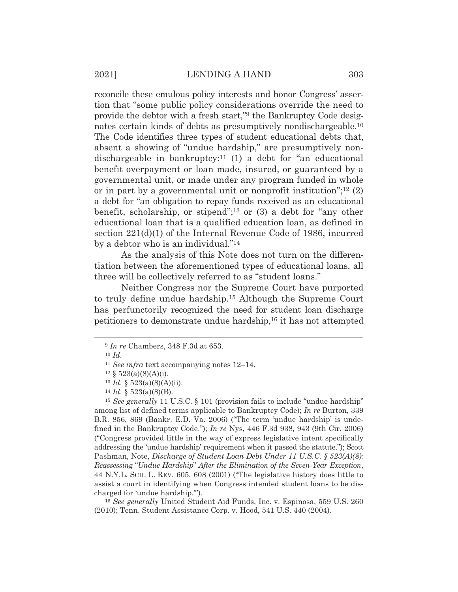reconcile these emulous policy interests and honor Congress' assertion that "some public policy considerations override the need to provide the debtor with a fresh start,"9 the Bankruptcy Code designates certain kinds of debts as presumptively nondischargeable.10 The Code identifies three types of student educational debts that, absent a showing of "undue hardship," are presumptively nondischargeable in bankruptcy:11 (1) a debt for "an educational benefit overpayment or loan made, insured, or guaranteed by a governmental unit, or made under any program funded in whole or in part by a governmental unit or nonprofit institution"; $^{12}$  (2) a debt for "an obligation to repay funds received as an educational benefit, scholarship, or stipend";13 or (3) a debt for "any other educational loan that is a qualified education loan, as defined in section 221(d)(1) of the Internal Revenue Code of 1986, incurred by a debtor who is an individual."14

As the analysis of this Note does not turn on the differentiation between the aforementioned types of educational loans, all three will be collectively referred to as "student loans."

Neither Congress nor the Supreme Court have purported to truly define undue hardship.15 Although the Supreme Court has perfunctorily recognized the need for student loan discharge petitioners to demonstrate undue hardship,16 it has not attempted

<sup>16</sup> *See generally* United Student Aid Funds, Inc. v. Espinosa, 559 U.S. 260 (2010); Tenn. Student Assistance Corp. v. Hood, 541 U.S. 440 (2004).

<sup>9</sup> *In re* Chambers, 348 F.3d at 653.

<sup>10</sup> *Id.*

<sup>&</sup>lt;sup>11</sup> *See infra* text accompanying notes  $12-14$ .<br><sup>12</sup> §  $523(a)(8)(A)(i)$ .

<sup>13</sup> *Id.* § 523(a)(8)(A)(ii). 14 *Id.* § 523(a)(8)(B).

<sup>&</sup>lt;sup>15</sup> *See generally* 11 U.S.C. § 101 (provision fails to include "undue hardship" among list of defined terms applicable to Bankruptcy Code); *In re* Burton, 339 B.R. 856, 869 (Bankr. E.D. Va. 2006) ("The term 'undue hardship' is undefined in the Bankruptcy Code."); *In re* Nys, 446 F.3d 938, 943 (9th Cir. 2006) ("Congress provided little in the way of express legislative intent specifically addressing the 'undue hardship' requirement when it passed the statute."); Scott Pashman, Note, *Discharge of Student Loan Debt Under 11 U.S.C. § 523(A)(8): Reassessing* "*Undue Hardship*" *After the Elimination of the Seven-Year Exception*, 44 N.Y.L. SCH. L. REV. 605, 608 (2001) ("The legislative history does little to assist a court in identifying when Congress intended student loans to be discharged for 'undue hardship.'").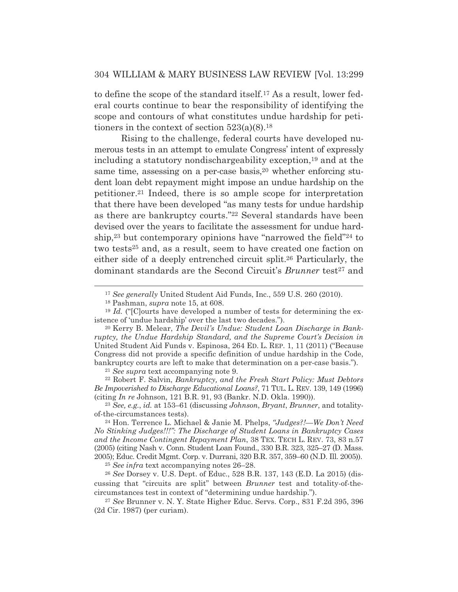to define the scope of the standard itself.17 As a result, lower federal courts continue to bear the responsibility of identifying the scope and contours of what constitutes undue hardship for petitioners in the context of section  $523(a)(8).$ <sup>18</sup>

Rising to the challenge, federal courts have developed numerous tests in an attempt to emulate Congress' intent of expressly including a statutory nondischargeability exception,19 and at the same time, assessing on a per-case basis,<sup>20</sup> whether enforcing student loan debt repayment might impose an undue hardship on the petitioner.21 Indeed, there is so ample scope for interpretation that there have been developed "as many tests for undue hardship as there are bankruptcy courts."22 Several standards have been devised over the years to facilitate the assessment for undue hardship,23 but contemporary opinions have "narrowed the field"24 to two tests<sup>25</sup> and, as a result, seem to have created one faction on either side of a deeply entrenched circuit split.26 Particularly, the dominant standards are the Second Circuit's *Brunner* test<sup>27</sup> and

*Be Impoverished to Discharge Educational Loans?*, 71 TUL. L. REV. 139, 149 (1996) (citing *In re* Johnson, 121 B.R. 91, 93 (Bankr. N.D. Okla. 1990)).

<sup>23</sup> *See, e.g.*, *id.* at 153–61 (discussing *Johnson*, *Bryant*, *Brunner*, and totalityof-the-circumstances tests). 24 Hon. Terrence L. Michael & Janie M. Phelps, *"Judges?!—We Don't Need* 

*No Stinking Judges!!!": The Discharge of Student Loans in Bankruptcy Cases and the Income Contingent Repayment Plan*, 38 TEX. TECH L. REV. 73, 83 n.57 (2005) (citing Nash v. Conn. Student Loan Found., 330 B.R. 323, 325–27 (D. Mass. 2005); Educ. Credit Mgmt. Corp. v. Durrani, 320 B.R. 357, 359–60 (N.D. Ill. 2005)).

<sup>25</sup> *See infra* text accompanying notes 26–28.

<sup>26</sup> *See* Dorsey v. U.S. Dept. of Educ., 528 B.R. 137, 143 (E.D. La 2015) (discussing that "circuits are split" between *Brunner* test and totality-of-thecircumstances test in context of "determining undue hardship.").

<sup>27</sup> *See* Brunner v. N. Y. State Higher Educ. Servs. Corp., 831 F.2d 395, 396 (2d Cir. 1987) (per curiam).

<sup>17</sup> *See generally* United Student Aid Funds, Inc., 559 U.S. 260 (2010).

<sup>18</sup> Pashman, *supra* note 15, at 608.

<sup>19</sup> *Id.* ("[C]ourts have developed a number of tests for determining the existence of 'undue hardship' over the last two decades.").

<sup>20</sup> Kerry B. Melear, *The Devil's Undue: Student Loan Discharge in Bankruptcy, the Undue Hardship Standard, and the Supreme Court's Decision in*  United Student Aid Funds v. Espinosa, 264 ED. L. REP. 1, 11 (2011) ("Because Congress did not provide a specific definition of undue hardship in the Code, bankruptcy courts are left to make that determination on a per-case basis."). 21 *See supra* text accompanying note 9. 22 Robert F. Salvin, *Bankruptcy, and the Fresh Start Policy: Must Debtors*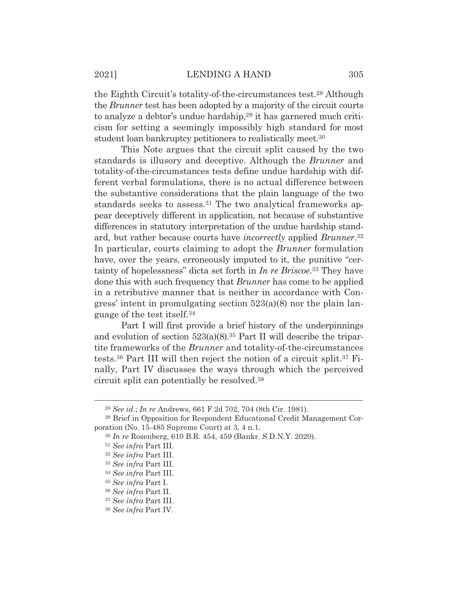the Eighth Circuit's totality-of-the-circumstances test.28 Although the *Brunner* test has been adopted by a majority of the circuit courts to analyze a debtor's undue hardship,<sup>29</sup> it has garnered much criticism for setting a seemingly impossibly high standard for most student loan bankruptcy petitioners to realistically meet.30

This Note argues that the circuit split caused by the two standards is illusory and deceptive. Although the *Brunner* and totality-of-the-circumstances tests define undue hardship with different verbal formulations, there is no actual difference between the substantive considerations that the plain language of the two standards seeks to assess.<sup>31</sup> The two analytical frameworks appear deceptively different in application, not because of substantive differences in statutory interpretation of the undue hardship standard, but rather because courts have *incorrectly* applied *Brunner*.32 In particular, courts claiming to adopt the *Brunner* formulation have, over the years, erroneously imputed to it, the punitive "certainty of hopelessness" dicta set forth in *In re Briscoe*.33 They have done this with such frequency that *Brunner* has come to be applied in a retributive manner that is neither in accordance with Congress' intent in promulgating section 523(a)(8) nor the plain language of the test itself.34

Part I will first provide a brief history of the underpinnings and evolution of section  $523(a)(8)$ .<sup>35</sup> Part II will describe the tripartite frameworks of the *Brunner* and totality-of-the-circumstances tests.36 Part III will then reject the notion of a circuit split.37 Finally, Part IV discusses the ways through which the perceived circuit split can potentially be resolved.38

<sup>28</sup> *See id*.; *In re* Andrews, 661 F.2d 702, 704 (8th Cir. 1981).

<sup>29</sup> Brief in Opposition for Respondent Educational Credit Management Corporation (No. 15-485 Supreme Court) at 3, 4 n.1.

<sup>30</sup> *In re* Rosenberg, 610 B.R. 454, 459 (Bankr. S.D.N.Y. 2020).

<sup>31</sup> *See infra* Part III.

<sup>32</sup> *See infra* Part III.

<sup>33</sup> *See infra* Part III.

<sup>34</sup> *See infra* Part III.

<sup>35</sup> *See infra* Part I.

<sup>36</sup> *See infra* Part II.

<sup>37</sup> *See infra* Part III.

<sup>38</sup> *See infra* Part IV.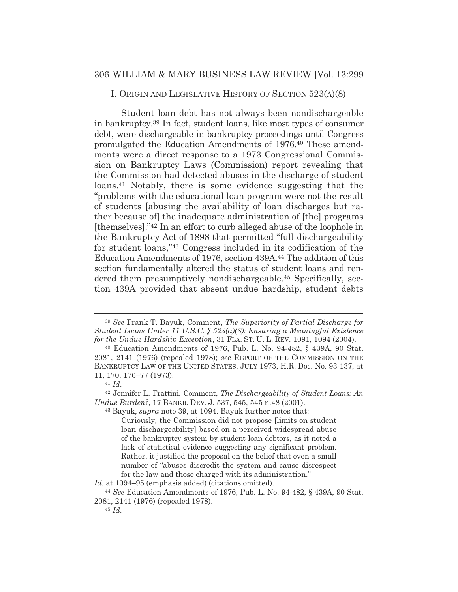I. ORIGIN AND LEGISLATIVE HISTORY OF SECTION 523(A)(8)

Student loan debt has not always been nondischargeable in bankruptcy.39 In fact, student loans, like most types of consumer debt, were dischargeable in bankruptcy proceedings until Congress promulgated the Education Amendments of 1976.40 These amendments were a direct response to a 1973 Congressional Commission on Bankruptcy Laws (Commission) report revealing that the Commission had detected abuses in the discharge of student loans.41 Notably, there is some evidence suggesting that the "problems with the educational loan program were not the result of students [abusing the availability of loan discharges but rather because of] the inadequate administration of [the] programs [themselves]."42 In an effort to curb alleged abuse of the loophole in the Bankruptcy Act of 1898 that permitted "full dischargeability for student loans,"43 Congress included in its codification of the Education Amendments of 1976, section 439A.44 The addition of this section fundamentally altered the status of student loans and rendered them presumptively nondischargeable.45 Specifically, section 439A provided that absent undue hardship, student debts

43 Bayuk, *supra* note 39, at 1094. Bayuk further notes that:

*Id.* at 1094–95 (emphasis added) (citations omitted).

<sup>39</sup> *See* Frank T. Bayuk, Comment, *The Superiority of Partial Discharge for Student Loans Under 11 U.S.C. § 523(a)(8): Ensuring a Meaningful Existence for the Undue Hardship Exception*, 31 FLA. ST. U. L. REV. 1091, 1094 (2004).

<sup>40</sup> Education Amendments of 1976, Pub. L. No. 94-482, § 439A, 90 Stat. 2081, 2141 (1976) (repealed 1978); *see* REPORT OF THE COMMISSION ON THE BANKRUPTCY LAW OF THE UNITED STATES, JULY 1973, H.R. Doc. No. 93-137, at 11, 170, 176–77 (1973). 41 *Id.*

<sup>42</sup> Jennifer L. Frattini, Comment, *The Dischargeability of Student Loans: An Undue Burden?*, 17 BANKR. DEV. J. 537, 545, 545 n.48 (2001).

Curiously, the Commission did not propose [limits on student loan dischargeability] based on a perceived widespread abuse of the bankruptcy system by student loan debtors, as it noted a lack of statistical evidence suggesting any significant problem. Rather, it justified the proposal on the belief that even a small number of "abuses discredit the system and cause disrespect for the law and those charged with its administration."

<sup>44</sup> *See* Education Amendments of 1976, Pub. L. No. 94-482, § 439A, 90 Stat. 2081, 2141 (1976) (repealed 1978).

<sup>45</sup> *Id.*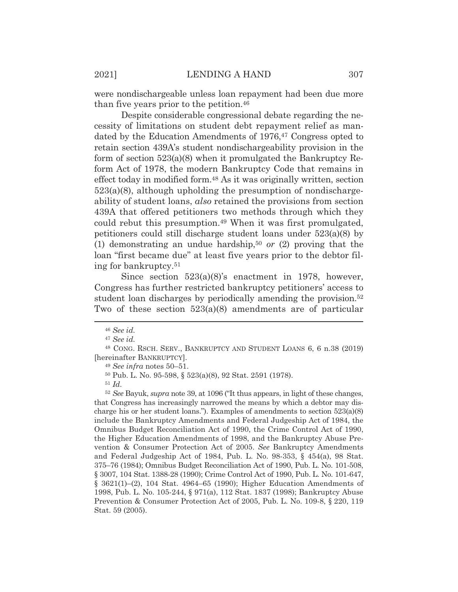were nondischargeable unless loan repayment had been due more than five years prior to the petition.46

Despite considerable congressional debate regarding the necessity of limitations on student debt repayment relief as mandated by the Education Amendments of 1976,<sup>47</sup> Congress opted to retain section 439A's student nondischargeability provision in the form of section 523(a)(8) when it promulgated the Bankruptcy Reform Act of 1978, the modern Bankruptcy Code that remains in effect today in modified form.48 As it was originally written, section 523(a)(8), although upholding the presumption of nondischargeability of student loans, *also* retained the provisions from section 439A that offered petitioners two methods through which they could rebut this presumption.49 When it was first promulgated, petitioners could still discharge student loans under 523(a)(8) by (1) demonstrating an undue hardship,50 *or* (2) proving that the loan "first became due" at least five years prior to the debtor filing for bankruptcy.51

Since section 523(a)(8)'s enactment in 1978, however, Congress has further restricted bankruptcy petitioners' access to student loan discharges by periodically amending the provision.<sup>52</sup> Two of these section 523(a)(8) amendments are of particular

<sup>51</sup> *Id.*

<sup>52</sup> *See* Bayuk, *supra* note 39, at 1096 ("It thus appears, in light of these changes, that Congress has increasingly narrowed the means by which a debtor may discharge his or her student loans."). Examples of amendments to section  $523(a)(8)$ include the Bankruptcy Amendments and Federal Judgeship Act of 1984, the Omnibus Budget Reconciliation Act of 1990, the Crime Control Act of 1990, the Higher Education Amendments of 1998, and the Bankruptcy Abuse Prevention & Consumer Protection Act of 2005. See Bankruptcy Amendments and Federal Judgeship Act of 1984, Pub. L. No. 98-353, § 454(a), 98 Stat. 375–76 (1984); Omnibus Budget Reconciliation Act of 1990, Pub. L. No. 101-508, § 3007, 104 Stat. 1388-28 (1990); Crime Control Act of 1990, Pub. L. No. 101-647, § 3621(1)–(2), 104 Stat. 4964–65 (1990); Higher Education Amendments of 1998, Pub. L. No. 105-244, § 971(a), 112 Stat. 1837 (1998); Bankruptcy Abuse Prevention & Consumer Protection Act of 2005, Pub. L. No. 109-8, § 220, 119 Stat. 59 (2005).

<sup>46</sup> *See id.*

<sup>47</sup> *See id.*

<sup>48</sup> CONG. RSCH. SERV., BANKRUPTCY AND STUDENT LOANS 6, 6 n.38 (2019) [hereinafter BANKRUPTCY].

<sup>49</sup> *See infra* notes 50–51.

<sup>50</sup> Pub. L. No. 95-598, § 523(a)(8), 92 Stat. 2591 (1978).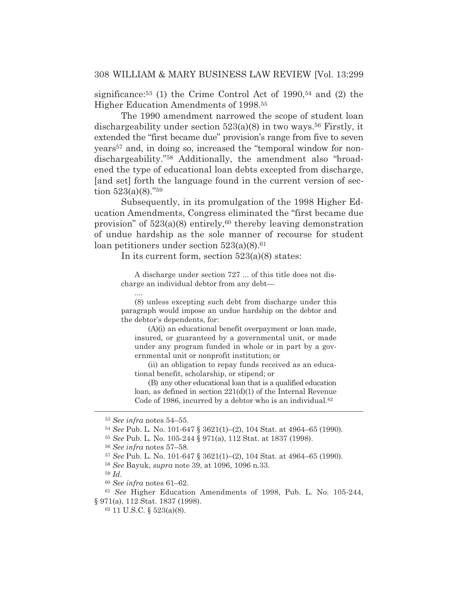significance:<sup>53</sup> (1) the Crime Control Act of  $1990,54$  and (2) the Higher Education Amendments of 1998.55

The 1990 amendment narrowed the scope of student loan dischargeability under section  $523(a)(8)$  in two ways.<sup>56</sup> Firstly, it extended the "first became due" provision's range from five to seven years57 and, in doing so, increased the "temporal window for nondischargeability."58 Additionally, the amendment also "broadened the type of educational loan debts excepted from discharge, [and set] forth the language found in the current version of section  $523(a)(8)$ ."<sup>59</sup>

Subsequently, in its promulgation of the 1998 Higher Education Amendments, Congress eliminated the "first became due provision" of  $523(a)(8)$  entirely,<sup>60</sup> thereby leaving demonstration of undue hardship as the sole manner of recourse for student loan petitioners under section  $523(a)(8).<sup>61</sup>$ 

In its current form, section 523(a)(8) states:

A discharge under section 727 ... of this title does not discharge an individual debtor from any debt—

(8) unless excepting such debt from discharge under this paragraph would impose an undue hardship on the debtor and the debtor's dependents, for:

(A)(i) an educational benefit overpayment or loan made, insured, or guaranteed by a governmental unit, or made under any program funded in whole or in part by a governmental unit or nonprofit institution; or

(ii) an obligation to repay funds received as an educational benefit, scholarship, or stipend; or

(B) any other educational loan that is a qualified education loan, as defined in section 221(d)(1) of the Internal Revenue Code of 1986, incurred by a debtor who is an individual.<sup>62</sup>

....

<sup>53</sup> *See infra* notes 54–55.

<sup>54</sup> *See* Pub. L. No. 101-647 § 3621(1)–(2), 104 Stat. at 4964–65 (1990).

<sup>55</sup> *See* Pub. L. No. 105-244 § 971(a), 112 Stat. at 1837 (1998).

<sup>56</sup> *See infra* notes 57–58.

<sup>57</sup> *See* Pub. L. No. 101-647 § 3621(1)–(2), 104 Stat. at 4964–65 (1990).

<sup>58</sup> *See* Bayuk, *supra* note 39, at 1096, 1096 n.33.

<sup>59</sup> *Id.*

<sup>60</sup> *See infra* notes 61–62.

<sup>61</sup> *See* Higher Education Amendments of 1998, Pub. L. No. 105-244, § 971(a), 112 Stat. 1837 (1998).

<sup>62 11</sup> U.S.C. § 523(a)(8).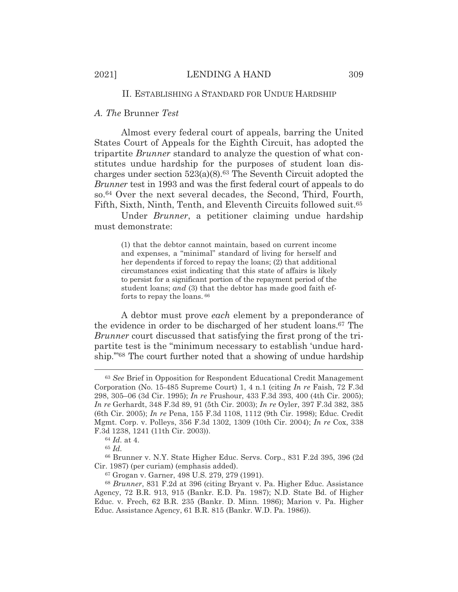#### II. ESTABLISHING A STANDARD FOR UNDUE HARDSHIP

#### *A. The* Brunner *Test*

Almost every federal court of appeals, barring the United States Court of Appeals for the Eighth Circuit, has adopted the tripartite *Brunner* standard to analyze the question of what constitutes undue hardship for the purposes of student loan discharges under section  $523(a)(8)$ .<sup>63</sup> The Seventh Circuit adopted the *Brunner* test in 1993 and was the first federal court of appeals to do so.64 Over the next several decades, the Second, Third, Fourth, Fifth, Sixth, Ninth, Tenth, and Eleventh Circuits followed suit.65

Under *Brunner*, a petitioner claiming undue hardship must demonstrate:

(1) that the debtor cannot maintain, based on current income and expenses, a "minimal" standard of living for herself and her dependents if forced to repay the loans; (2) that additional circumstances exist indicating that this state of affairs is likely to persist for a significant portion of the repayment period of the student loans; *and* (3) that the debtor has made good faith efforts to repay the loans. 66

A debtor must prove *each* element by a preponderance of the evidence in order to be discharged of her student loans.67 The *Brunner* court discussed that satisfying the first prong of the tripartite test is the "minimum necessary to establish 'undue hardship.'"68 The court further noted that a showing of undue hardship

<sup>65</sup> *Id.*

66 Brunner v. N.Y. State Higher Educ. Servs. Corp., 831 F.2d 395, 396 (2d Cir. 1987) (per curiam) (emphasis added).

<sup>63</sup> *See* Brief in Opposition for Respondent Educational Credit Management Corporation (No. 15-485 Supreme Court) 1, 4 n.1 (citing *In re* Faish, 72 F.3d 298, 305–06 (3d Cir. 1995); *In re* Frushour, 433 F.3d 393, 400 (4th Cir. 2005); *In re* Gerhardt, 348 F.3d 89, 91 (5th Cir. 2003); *In re* Oyler, 397 F.3d 382, 385 (6th Cir. 2005); *In re* Pena, 155 F.3d 1108, 1112 (9th Cir. 1998); Educ. Credit Mgmt. Corp. v. Polleys, 356 F.3d 1302, 1309 (10th Cir. 2004); *In re* Cox, 338 F.3d 1238, 1241 (11th Cir. 2003)).

<sup>64</sup> *Id.* at 4.

<sup>67</sup> Grogan v. Garner, 498 U.S. 279, 279 (1991).

<sup>68</sup> *Brunner*, 831 F.2d at 396 (citing Bryant v. Pa. Higher Educ. Assistance Agency, 72 B.R. 913, 915 (Bankr. E.D. Pa. 1987); N.D. State Bd. of Higher Educ. v. Frech, 62 B.R. 235 (Bankr. D. Minn. 1986); Marion v. Pa. Higher Educ. Assistance Agency, 61 B.R. 815 (Bankr. W.D. Pa. 1986)).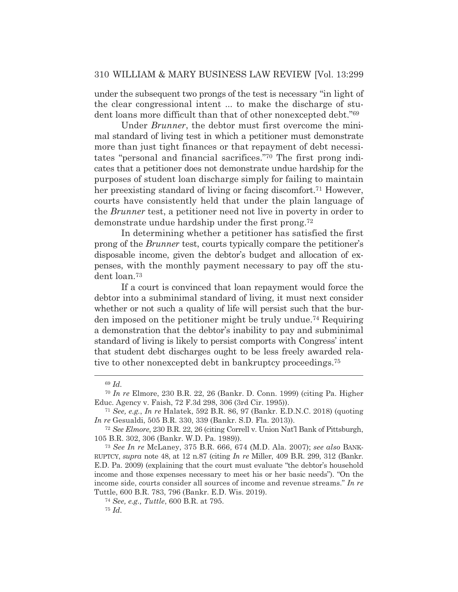under the subsequent two prongs of the test is necessary "in light of the clear congressional intent ... to make the discharge of student loans more difficult than that of other nonexcepted debt."69

Under *Brunner*, the debtor must first overcome the minimal standard of living test in which a petitioner must demonstrate more than just tight finances or that repayment of debt necessitates "personal and financial sacrifices."70 The first prong indicates that a petitioner does not demonstrate undue hardship for the purposes of student loan discharge simply for failing to maintain her preexisting standard of living or facing discomfort.<sup>71</sup> However, courts have consistently held that under the plain language of the *Brunner* test, a petitioner need not live in poverty in order to demonstrate undue hardship under the first prong.72

In determining whether a petitioner has satisfied the first prong of the *Brunner* test, courts typically compare the petitioner's disposable income, given the debtor's budget and allocation of expenses, with the monthly payment necessary to pay off the student loan.73

If a court is convinced that loan repayment would force the debtor into a subminimal standard of living, it must next consider whether or not such a quality of life will persist such that the burden imposed on the petitioner might be truly undue.74 Requiring a demonstration that the debtor's inability to pay and subminimal standard of living is likely to persist comports with Congress' intent that student debt discharges ought to be less freely awarded relative to other nonexcepted debt in bankruptcy proceedings.75

<sup>69</sup> *Id.*

<sup>70</sup> *In re* Elmore, 230 B.R. 22, 26 (Bankr. D. Conn. 1999) (citing Pa. Higher Educ. Agency v. Faish, 72 F.3d 298, 306 (3rd Cir. 1995)).

<sup>71</sup> *See, e.g.*, *In re* Halatek, 592 B.R. 86, 97 (Bankr. E.D.N.C. 2018) (quoting *In re* Gesualdi, 505 B.R. 330, 339 (Bankr. S.D. Fla. 2013)).

<sup>72</sup> *See Elmore*, 230 B.R. 22, 26 (citing Correll v. Union Nat'l Bank of Pittsburgh, 105 B.R. 302, 306 (Bankr. W.D. Pa. 1989)).

<sup>73</sup> *See In re* McLaney, 375 B.R. 666, 674 (M.D. Ala. 2007); *see also* BANK-RUPTCY, *supra* note 48, at 12 n.87 (citing *In re* Miller, 409 B.R. 299, 312 (Bankr. E.D. Pa. 2009) (explaining that the court must evaluate "the debtor's household income and those expenses necessary to meet his or her basic needs"). "On the income side, courts consider all sources of income and revenue streams." *In re*  Tuttle, 600 B.R. 783, 796 (Bankr. E.D. Wis. 2019).

<sup>74</sup> *See, e.g., Tuttle*, 600 B.R. at 795.

<sup>75</sup> *Id.*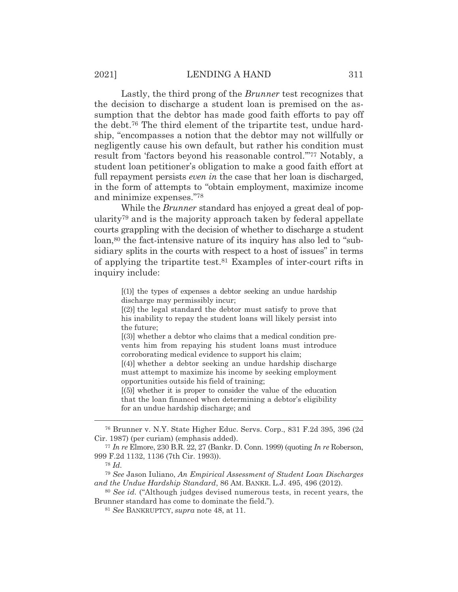Lastly, the third prong of the *Brunner* test recognizes that the decision to discharge a student loan is premised on the assumption that the debtor has made good faith efforts to pay off the debt.76 The third element of the tripartite test, undue hardship, "encompasses a notion that the debtor may not willfully or negligently cause his own default, but rather his condition must result from 'factors beyond his reasonable control."<sup>77</sup> Notably, a student loan petitioner's obligation to make a good faith effort at full repayment persists *even in* the case that her loan is discharged, in the form of attempts to "obtain employment, maximize income and minimize expenses."78

While the *Brunner* standard has enjoyed a great deal of popularity79 and is the majority approach taken by federal appellate courts grappling with the decision of whether to discharge a student loan,<sup>80</sup> the fact-intensive nature of its inquiry has also led to "subsidiary splits in the courts with respect to a host of issues" in terms of applying the tripartite test.81 Examples of inter-court rifts in inquiry include:

> [(1)] the types of expenses a debtor seeking an undue hardship discharge may permissibly incur;

> [(2)] the legal standard the debtor must satisfy to prove that his inability to repay the student loans will likely persist into the future;

> [(3)] whether a debtor who claims that a medical condition prevents him from repaying his student loans must introduce corroborating medical evidence to support his claim;

> [(4)] whether a debtor seeking an undue hardship discharge must attempt to maximize his income by seeking employment opportunities outside his field of training;

> [(5)] whether it is proper to consider the value of the education that the loan financed when determining a debtor's eligibility for an undue hardship discharge; and

<sup>76</sup> Brunner v. N.Y. State Higher Educ. Servs. Corp., 831 F.2d 395, 396 (2d Cir. 1987) (per curiam) (emphasis added).

<sup>77</sup> *In re* Elmore, 230 B.R. 22, 27 (Bankr. D. Conn. 1999) (quoting *In re* Roberson, 999 F.2d 1132, 1136 (7th Cir. 1993)).

<sup>78</sup> *Id.*

<sup>79</sup> *See* Jason Iuliano, *An Empirical Assessment of Student Loan Discharges and the Undue Hardship Standard*, 86 AM. BANKR. L.J. 495, 496 (2012).

<sup>80</sup> *See id.* ("Although judges devised numerous tests, in recent years, the Brunner standard has come to dominate the field.").

<sup>81</sup> *See* BANKRUPTCY, *supra* note 48, at 11.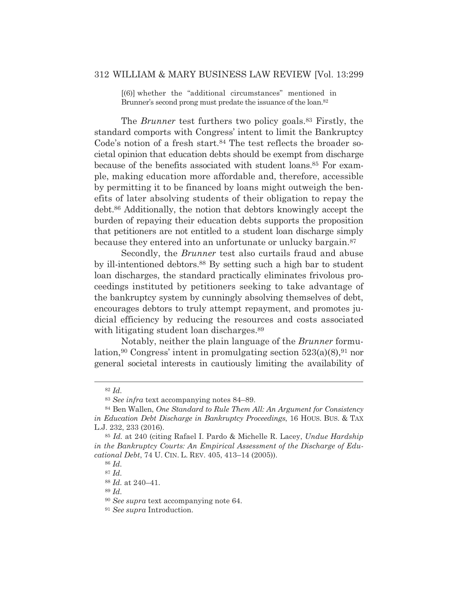[(6)] whether the "additional circumstances" mentioned in Brunner's second prong must predate the issuance of the loan.<sup>82</sup>

The *Brunner* test furthers two policy goals.<sup>83</sup> Firstly, the standard comports with Congress' intent to limit the Bankruptcy Code's notion of a fresh start.<sup>84</sup> The test reflects the broader societal opinion that education debts should be exempt from discharge because of the benefits associated with student loans.<sup>85</sup> For example, making education more affordable and, therefore, accessible by permitting it to be financed by loans might outweigh the benefits of later absolving students of their obligation to repay the debt.86 Additionally, the notion that debtors knowingly accept the burden of repaying their education debts supports the proposition that petitioners are not entitled to a student loan discharge simply because they entered into an unfortunate or unlucky bargain.<sup>87</sup>

Secondly, the *Brunner* test also curtails fraud and abuse by ill-intentioned debtors.88 By setting such a high bar to student loan discharges, the standard practically eliminates frivolous proceedings instituted by petitioners seeking to take advantage of the bankruptcy system by cunningly absolving themselves of debt, encourages debtors to truly attempt repayment, and promotes judicial efficiency by reducing the resources and costs associated with litigating student loan discharges.<sup>89</sup>

Notably, neither the plain language of the *Brunner* formulation,<sup>90</sup> Congress' intent in promulgating section  $523(a)(8)$ ,<sup>91</sup> nor general societal interests in cautiously limiting the availability of

<sup>89</sup> *Id.*

<sup>82</sup> *Id.*

<sup>83</sup> *See infra* text accompanying notes 84–89.

<sup>84</sup> Ben Wallen, *One Standard to Rule Them All: An Argument for Consistency in Education Debt Discharge in Bankruptcy Proceedings*, 16 HOUS. BUS.&TAX L.J. 232, 233 (2016).

<sup>85</sup> *Id.* at 240 (citing Rafael I. Pardo & Michelle R. Lacey, *Undue Hardship in the Bankruptcy Courts: An Empirical Assessment of the Discharge of Educational Debt*, 74 U. CIN. L. REV. 405, 413–14 (2005)).

<sup>86</sup> *Id.*

<sup>87</sup> *Id.*

<sup>88</sup> *Id.* at 240–41.

<sup>90</sup> *See supra* text accompanying note 64.

<sup>91</sup> *See supra* Introduction.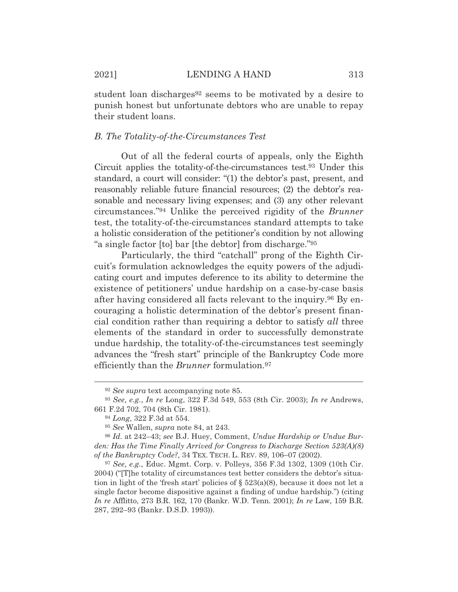student loan discharges<sup>92</sup> seems to be motivated by a desire to punish honest but unfortunate debtors who are unable to repay their student loans.

#### *B. The Totality-of-the-Circumstances Test*

Out of all the federal courts of appeals, only the Eighth Circuit applies the totality-of-the-circumstances test.93 Under this standard, a court will consider: "(1) the debtor's past, present, and reasonably reliable future financial resources; (2) the debtor's reasonable and necessary living expenses; and (3) any other relevant circumstances."94 Unlike the perceived rigidity of the *Brunner* test, the totality-of-the-circumstances standard attempts to take a holistic consideration of the petitioner's condition by not allowing "a single factor [to] bar [the debtor] from discharge."95

Particularly, the third "catchall" prong of the Eighth Circuit's formulation acknowledges the equity powers of the adjudicating court and imputes deference to its ability to determine the existence of petitioners' undue hardship on a case-by-case basis after having considered all facts relevant to the inquiry.96 By encouraging a holistic determination of the debtor's present financial condition rather than requiring a debtor to satisfy *all* three elements of the standard in order to successfully demonstrate undue hardship, the totality-of-the-circumstances test seemingly advances the "fresh start" principle of the Bankruptcy Code more efficiently than the *Brunner* formulation.97

<sup>92</sup> *See supra* text accompanying note 85.

<sup>93</sup> *See, e.g.*, *In re* Long, 322 F.3d 549, 553 (8th Cir. 2003); *In re* Andrews, 661 F.2d 702, 704 (8th Cir. 1981).

<sup>94</sup> *Long*, 322 F.3d at 554.

<sup>95</sup> *See* Wallen, *supra* note 84, at 243.

<sup>96</sup> *Id.* at 242–43; *see* B.J. Huey, Comment, *Undue Hardship or Undue Burden: Has the Time Finally Arrived for Congress to Discharge Section 523(A)(8) of the Bankruptcy Code?*, 34 TEX. TECH. L. REV. 89, 106–07 (2002).

<sup>97</sup> *See, e.g.*, Educ. Mgmt. Corp. v. Polleys, 356 F.3d 1302, 1309 (10th Cir. 2004) ("[T]he totality of circumstances test better considers the debtor's situation in light of the 'fresh start' policies of  $\S$  523(a)(8), because it does not let a single factor become dispositive against a finding of undue hardship.") (citing *In re* Afflitto, 273 B.R. 162, 170 (Bankr. W.D. Tenn. 2001); *In re* Law, 159 B.R. 287, 292–93 (Bankr. D.S.D. 1993)).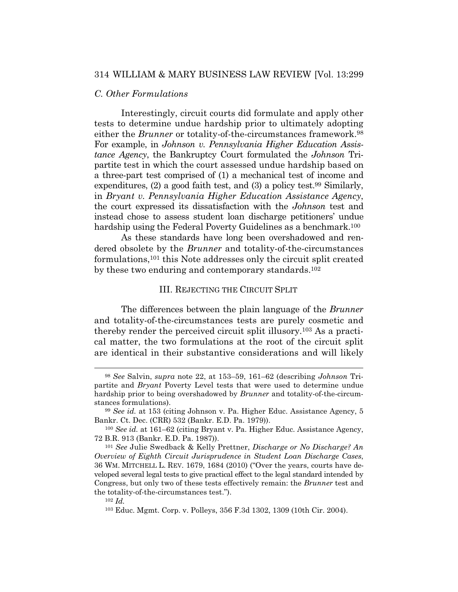#### *C. Other Formulations*

Interestingly, circuit courts did formulate and apply other tests to determine undue hardship prior to ultimately adopting either the *Brunner* or totality-of-the-circumstances framework.<sup>98</sup> For example, in *Johnson v. Pennsylvania Higher Education Assistance Agency*, the Bankruptcy Court formulated the *Johnson* Tripartite test in which the court assessed undue hardship based on a three-part test comprised of (1) a mechanical test of income and expenditures, (2) a good faith test, and (3) a policy test.99 Similarly, in *Bryant v. Pennsylvania Higher Education Assistance Agency*, the court expressed its dissatisfaction with the *Johnson* test and instead chose to assess student loan discharge petitioners' undue hardship using the Federal Poverty Guidelines as a benchmark.<sup>100</sup>

As these standards have long been overshadowed and rendered obsolete by the *Brunner* and totality-of-the-circumstances formulations,101 this Note addresses only the circuit split created by these two enduring and contemporary standards.102

#### III. REJECTING THE CIRCUIT SPLIT

The differences between the plain language of the *Brunner* and totality-of-the-circumstances tests are purely cosmetic and thereby render the perceived circuit split illusory.103 As a practical matter, the two formulations at the root of the circuit split are identical in their substantive considerations and will likely

<sup>98</sup> *See* Salvin, *supra* note 22, at 153–59, 161–62 (describing *Johnson* Tripartite and *Bryant* Poverty Level tests that were used to determine undue hardship prior to being overshadowed by *Brunner* and totality-of-the-circumstances formulations).

<sup>99</sup> *See id.* at 153 (citing Johnson v. Pa. Higher Educ. Assistance Agency, 5 Bankr. Ct. Dec. (CRR) 532 (Bankr. E.D. Pa. 1979)).

<sup>100</sup> *See id.* at 161–62 (citing Bryant v. Pa. Higher Educ. Assistance Agency, 72 B.R. 913 (Bankr. E.D. Pa. 1987)).

<sup>101</sup> *See* Julie Swedback & Kelly Prettner, *Discharge or No Discharge? An Overview of Eighth Circuit Jurisprudence in Student Loan Discharge Cases*, 36 WM. MITCHELL L. REV. 1679, 1684 (2010) ("Over the years, courts have developed several legal tests to give practical effect to the legal standard intended by Congress, but only two of these tests effectively remain: the *Brunner* test and the totality-of-the-circumstances test.").

<sup>102</sup> *Id.*

<sup>103</sup> Educ. Mgmt. Corp. v. Polleys, 356 F.3d 1302, 1309 (10th Cir. 2004).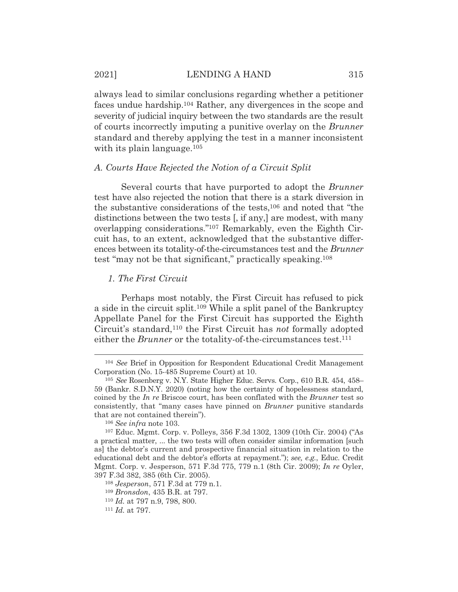always lead to similar conclusions regarding whether a petitioner faces undue hardship.104 Rather, any divergences in the scope and severity of judicial inquiry between the two standards are the result of courts incorrectly imputing a punitive overlay on the *Brunner* standard and thereby applying the test in a manner inconsistent with its plain language.<sup>105</sup>

#### *A. Courts Have Rejected the Notion of a Circuit Split*

Several courts that have purported to adopt the *Brunner* test have also rejected the notion that there is a stark diversion in the substantive considerations of the tests,106 and noted that "the distinctions between the two tests [, if any,] are modest, with many overlapping considerations."107 Remarkably, even the Eighth Circuit has, to an extent, acknowledged that the substantive differences between its totality-of-the-circumstances test and the *Brunner* test "may not be that significant," practically speaking.108

#### *1. The First Circuit*

Perhaps most notably, the First Circuit has refused to pick a side in the circuit split.109 While a split panel of the Bankruptcy Appellate Panel for the First Circuit has supported the Eighth Circuit's standard,110 the First Circuit has *not* formally adopted either the *Brunner* or the totality-of-the-circumstances test.<sup>111</sup>

<sup>104</sup> *See* Brief in Opposition for Respondent Educational Credit Management Corporation (No. 15-485 Supreme Court) at 10.

<sup>105</sup> *See* Rosenberg v. N.Y. State Higher Educ. Servs. Corp., 610 B.R. 454, 458– 59 (Bankr. S.D.N.Y. 2020) (noting how the certainty of hopelessness standard, coined by the *In re* Briscoe court, has been conflated with the *Brunner* test so consistently, that "many cases have pinned on *Brunner* punitive standards that are not contained therein").

<sup>106</sup> *See infra* note 103.

<sup>107</sup> Educ. Mgmt. Corp. v. Polleys, 356 F.3d 1302, 1309 (10th Cir. 2004) ("As a practical matter, ... the two tests will often consider similar information [such as] the debtor's current and prospective financial situation in relation to the educational debt and the debtor's efforts at repayment."); *see, e.g.*, Educ. Credit Mgmt. Corp. v. Jesperson, 571 F.3d 775, 779 n.1 (8th Cir. 2009); *In re* Oyler, 397 F.3d 382, 385 (6th Cir. 2005).

<sup>108</sup> *Jesperson*, 571 F.3d at 779 n.1.

<sup>109</sup> *Bronsdon*, 435 B.R. at 797.

<sup>110</sup> *Id.* at 797 n.9, 798, 800. 111 *Id.* at 797.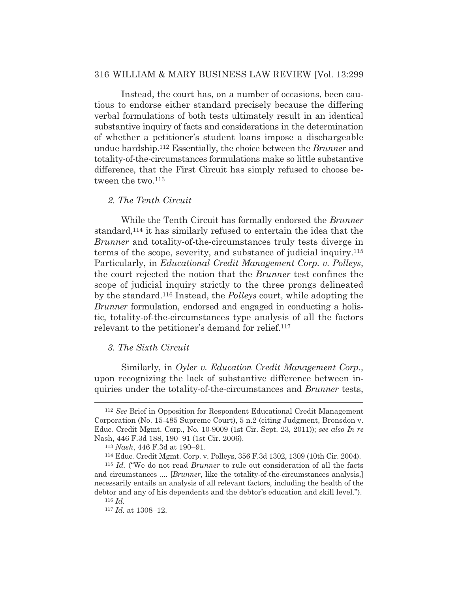Instead, the court has, on a number of occasions, been cautious to endorse either standard precisely because the differing verbal formulations of both tests ultimately result in an identical substantive inquiry of facts and considerations in the determination of whether a petitioner's student loans impose a dischargeable undue hardship.112 Essentially, the choice between the *Brunner* and totality-of-the-circumstances formulations make so little substantive difference, that the First Circuit has simply refused to choose between the two.<sup>113</sup>

#### *2. The Tenth Circuit*

While the Tenth Circuit has formally endorsed the *Brunner* standard,114 it has similarly refused to entertain the idea that the *Brunner* and totality-of-the-circumstances truly tests diverge in terms of the scope, severity, and substance of judicial inquiry.115 Particularly, in *Educational Credit Management Corp. v. Polleys*, the court rejected the notion that the *Brunner* test confines the scope of judicial inquiry strictly to the three prongs delineated by the standard.116 Instead, the *Polleys* court, while adopting the *Brunner* formulation, endorsed and engaged in conducting a holistic, totality-of-the-circumstances type analysis of all the factors relevant to the petitioner's demand for relief.117

#### *3. The Sixth Circuit*

Similarly, in *Oyler v. Education Credit Management Corp.*, upon recognizing the lack of substantive difference between inquiries under the totality-of-the-circumstances and *Brunner* tests,

<sup>112</sup> *See* Brief in Opposition for Respondent Educational Credit Management Corporation (No. 15-485 Supreme Court), 5 n.2 (citing Judgment, Bronsdon v. Educ. Credit Mgmt. Corp., No. 10-9009 (1st Cir. Sept. 23, 2011)); *see also In re*  Nash, 446 F.3d 188, 190–91 (1st Cir. 2006).

<sup>&</sup>lt;sup>113</sup> *Nash*, 446 F.3d at 190–91.<br><sup>114</sup> Educ. Credit Mgmt. Corp. v. Polleys, 356 F.3d 1302, 1309 (10th Cir. 2004).

<sup>115</sup> *Id.* ("We do not read *Brunner* to rule out consideration of all the facts and circumstances .... [*Brunner*, like the totality-of-the-circumstances analysis,] necessarily entails an analysis of all relevant factors, including the health of the debtor and any of his dependents and the debtor's education and skill level."). <sup>116</sup> *Id.*

<sup>117</sup> *Id.* at 1308–12.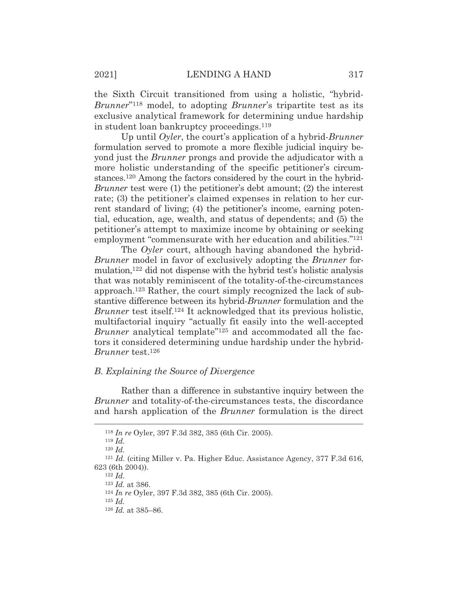the Sixth Circuit transitioned from using a holistic, "hybrid-*Brunner*"118 model, to adopting *Brunner*'s tripartite test as its exclusive analytical framework for determining undue hardship in student loan bankruptcy proceedings.119

Up until *Oyler*, the court's application of a hybrid-*Brunner* formulation served to promote a more flexible judicial inquiry beyond just the *Brunner* prongs and provide the adjudicator with a more holistic understanding of the specific petitioner's circumstances.120 Among the factors considered by the court in the hybrid-*Brunner* test were (1) the petitioner's debt amount; (2) the interest rate; (3) the petitioner's claimed expenses in relation to her current standard of living; (4) the petitioner's income, earning potential, education, age, wealth, and status of dependents; and (5) the petitioner's attempt to maximize income by obtaining or seeking employment "commensurate with her education and abilities."121

The *Oyler* court, although having abandoned the hybrid-*Brunner* model in favor of exclusively adopting the *Brunner* formulation,122 did not dispense with the hybrid test's holistic analysis that was notably reminiscent of the totality-of-the-circumstances approach.123 Rather, the court simply recognized the lack of substantive difference between its hybrid-*Brunner* formulation and the *Brunner* test itself.<sup>124</sup> It acknowledged that its previous holistic, multifactorial inquiry "actually fit easily into the well-accepted *Brunner* analytical template<sup>"125</sup> and accommodated all the factors it considered determining undue hardship under the hybrid-*Brunner* test.126

#### *B. Explaining the Source of Divergence*

Rather than a difference in substantive inquiry between the *Brunner* and totality-of-the-circumstances tests, the discordance and harsh application of the *Brunner* formulation is the direct

<sup>118</sup> *In re* Oyler, 397 F.3d 382, 385 (6th Cir. 2005).

<sup>119</sup> *Id.*

<sup>120</sup> *Id.*

<sup>121</sup> *Id.* (citing Miller v. Pa. Higher Educ. Assistance Agency, 377 F.3d 616, 623 (6th 2004)).<br><sup>122</sup> *Id.* at 386.

<sup>123</sup> *Id.* at 386. 124 *In re* Oyler, 397 F.3d 382, 385 (6th Cir. 2005).

<sup>125</sup> *Id.*

<sup>126</sup> *Id.* at 385–86.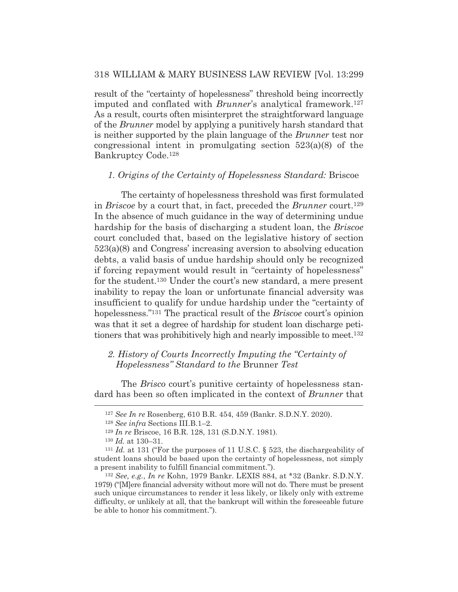result of the "certainty of hopelessness" threshold being incorrectly imputed and conflated with *Brunner*'s analytical framework.127 As a result, courts often misinterpret the straightforward language of the *Brunner* model by applying a punitively harsh standard that is neither supported by the plain language of the *Brunner* test nor congressional intent in promulgating section 523(a)(8) of the Bankruptcy Code.128

#### *1. Origins of the Certainty of Hopelessness Standard:* Briscoe

The certainty of hopelessness threshold was first formulated in *Briscoe* by a court that, in fact, preceded the *Brunner* court.129 In the absence of much guidance in the way of determining undue hardship for the basis of discharging a student loan, the *Briscoe* court concluded that, based on the legislative history of section 523(a)(8) and Congress' increasing aversion to absolving education debts, a valid basis of undue hardship should only be recognized if forcing repayment would result in "certainty of hopelessness" for the student.130 Under the court's new standard, a mere present inability to repay the loan or unfortunate financial adversity was insufficient to qualify for undue hardship under the "certainty of hopelessness."131 The practical result of the *Briscoe* court's opinion was that it set a degree of hardship for student loan discharge petitioners that was prohibitively high and nearly impossible to meet.132

### 2. History of Courts Incorrectly Imputing the "Certainty of *Hopelessness" Standard to the* Brunner *Test*

The *Brisco* court's punitive certainty of hopelessness standard has been so often implicated in the context of *Brunner* that

<sup>127</sup> *See In re* Rosenberg, 610 B.R. 454, 459 (Bankr. S.D.N.Y. 2020).

<sup>128</sup> *See infra* Sections III.B.1–2.

<sup>129</sup> *In re* Briscoe, 16 B.R. 128, 131 (S.D.N.Y. 1981).

<sup>130</sup> *Id.* at 130–31.

<sup>131</sup> *Id.* at 131 ("For the purposes of 11 U.S.C. § 523, the dischargeability of student loans should be based upon the certainty of hopelessness, not simply a present inability to fulfill financial commitment.").

<sup>132</sup> *See, e.g.*, *In re* Kohn, 1979 Bankr. LEXIS 884, at \*32 (Bankr. S.D.N.Y. 1979) ("[M]ere financial adversity without more will not do. There must be present such unique circumstances to render it less likely, or likely only with extreme difficulty, or unlikely at all, that the bankrupt will within the foreseeable future be able to honor his commitment.").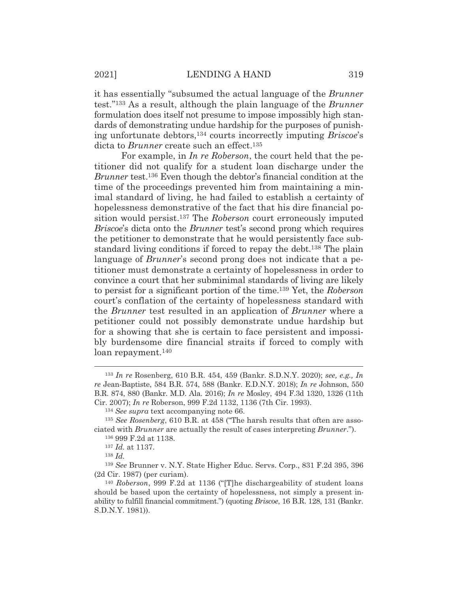it has essentially "subsumed the actual language of the *Brunner* test."133 As a result, although the plain language of the *Brunner* formulation does itself not presume to impose impossibly high standards of demonstrating undue hardship for the purposes of punishing unfortunate debtors,134 courts incorrectly imputing *Briscoe*'s dicta to *Brunner* create such an effect.<sup>135</sup>

For example, in *In re Roberson*, the court held that the petitioner did not qualify for a student loan discharge under the *Brunner* test.136 Even though the debtor's financial condition at the time of the proceedings prevented him from maintaining a minimal standard of living, he had failed to establish a certainty of hopelessness demonstrative of the fact that his dire financial position would persist.137 The *Roberson* court erroneously imputed *Briscoe*'s dicta onto the *Brunner* test's second prong which requires the petitioner to demonstrate that he would persistently face substandard living conditions if forced to repay the debt.138 The plain language of *Brunner*'s second prong does not indicate that a petitioner must demonstrate a certainty of hopelessness in order to convince a court that her subminimal standards of living are likely to persist for a significant portion of the time.139 Yet, the *Roberson* court's conflation of the certainty of hopelessness standard with the *Brunner* test resulted in an application of *Brunner* where a petitioner could not possibly demonstrate undue hardship but for a showing that she is certain to face persistent and impossibly burdensome dire financial straits if forced to comply with loan repayment.140

<sup>133</sup> *In re* Rosenberg, 610 B.R. 454, 459 (Bankr. S.D.N.Y. 2020); *see, e.g., In re* Jean-Baptiste, 584 B.R. 574, 588 (Bankr. E.D.N.Y. 2018); *In re* Johnson, 550 B.R. 874, 880 (Bankr. M.D. Ala. 2016); *In re* Mosley, 494 F.3d 1320, 1326 (11th Cir. 2007); *In re* Roberson, 999 F.2d 1132, 1136 (7th Cir. 1993).

<sup>134</sup> *See supra* text accompanying note 66.

<sup>135</sup> *See Rosenberg*, 610 B.R. at 458 ("The harsh results that often are associated with *Brunner* are actually the result of cases interpreting *Brunner*."). 136 999 F.2d at 1138.

<sup>137</sup> *Id.* at 1137.

<sup>138</sup> *Id.*

<sup>139</sup> *See* Brunner v. N.Y. State Higher Educ. Servs. Corp., 831 F.2d 395, 396 (2d Cir. 1987) (per curiam).

<sup>140</sup> *Roberson*, 999 F.2d at 1136 ("[T]he dischargeability of student loans should be based upon the certainty of hopelessness, not simply a present inability to fulfill financial commitment.") (quoting *Briscoe*, 16 B.R. 128, 131 (Bankr. S.D.N.Y. 1981)).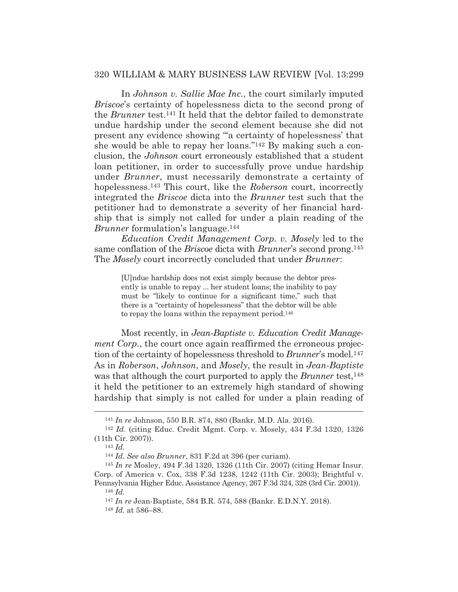In *Johnson v. Sallie Mae Inc.*, the court similarly imputed *Briscoe*'s certainty of hopelessness dicta to the second prong of the *Brunner* test.141 It held that the debtor failed to demonstrate undue hardship under the second element because she did not present any evidence showing "'a certainty of hopelessness' that she would be able to repay her loans."142 By making such a conclusion, the *Johnson* court erroneously established that a student loan petitioner, in order to successfully prove undue hardship under *Brunner*, must necessarily demonstrate a certainty of hopelessness.143 This court, like the *Roberson* court, incorrectly integrated the *Briscoe* dicta into the *Brunner* test such that the petitioner had to demonstrate a severity of her financial hardship that is simply not called for under a plain reading of the *Brunner* formulation's language.144

*Education Credit Management Corp. v. Mosely* led to the same conflation of the *Briscoe* dicta with *Brunner*'s second prong.145 The *Mosely* court incorrectly concluded that under *Brunner*:

[U]ndue hardship does not exist simply because the debtor presently is unable to repay ... her student loans; the inability to pay must be "likely to continue for a significant time," such that there is a "certainty of hopelessness" that the debtor will be able to repay the loans within the repayment period.146

Most recently, in *Jean-Baptiste v. Education Credit Management Corp.*, the court once again reaffirmed the erroneous projection of the certainty of hopelessness threshold to *Brunner*'s model.147 As in *Roberson*, *Johnson*, and *Mosely*, the result in *Jean-Baptiste* was that although the court purported to apply the *Brunner* test,<sup>148</sup> it held the petitioner to an extremely high standard of showing hardship that simply is not called for under a plain reading of

<sup>146</sup> *Id.*

<sup>141</sup> *In re* Johnson, 550 B.R. 874, 880 (Bankr. M.D. Ala. 2016). 142 *Id.* (citing Educ. Credit Mgmt. Corp. v. Mosely, 434 F.3d 1320, 1326 (11th Cir. 2007)).

<sup>143</sup> *Id.*

<sup>144</sup> *Id. See also Brunner*, 831 F.2d at 396 (per curiam).

<sup>145</sup> *In re* Mosley, 494 F.3d 1320, 1326 (11th Cir. 2007) (citing Hemar Insur. Corp. of America v. Cox, 338 F.3d 1238, 1242 (11th Cir. 2003); Brightful v. Pennsylvania Higher Educ. Assistance Agency, 267 F.3d 324, 328 (3rd Cir. 2001)).

<sup>147</sup> *In re* Jean-Baptiste, 584 B.R. 574, 588 (Bankr. E.D.N.Y. 2018).

<sup>148</sup> *Id.* at 586–88.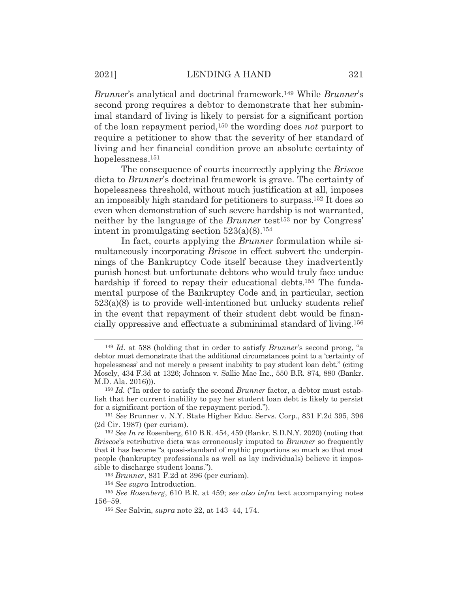*Brunner*'s analytical and doctrinal framework.149 While *Brunner*'s second prong requires a debtor to demonstrate that her subminimal standard of living is likely to persist for a significant portion of the loan repayment period,150 the wording does *not* purport to require a petitioner to show that the severity of her standard of living and her financial condition prove an absolute certainty of hopelessness.151

The consequence of courts incorrectly applying the *Briscoe* dicta to *Brunner*'s doctrinal framework is grave. The certainty of hopelessness threshold, without much justification at all, imposes an impossibly high standard for petitioners to surpass.152 It does so even when demonstration of such severe hardship is not warranted, neither by the language of the *Brunner* test153 nor by Congress' intent in promulgating section  $523(a)(8)$ .<sup>154</sup>

In fact, courts applying the *Brunner* formulation while simultaneously incorporating *Briscoe* in effect subvert the underpinnings of the Bankruptcy Code itself because they inadvertently punish honest but unfortunate debtors who would truly face undue hardship if forced to repay their educational debts.<sup>155</sup> The fundamental purpose of the Bankruptcy Code and, in particular, section 523(a)(8) is to provide well-intentioned but unlucky students relief in the event that repayment of their student debt would be financially oppressive and effectuate a subminimal standard of living.156

<sup>153</sup> *Brunner*, 831 F.2d at 396 (per curiam).

<sup>149</sup> *Id.* at 588 (holding that in order to satisfy *Brunner*'s second prong, "a debtor must demonstrate that the additional circumstances point to a 'certainty of hopelessness' and not merely a present inability to pay student loan debt." (citing Mosely, 434 F.3d at 1326; Johnson v. Sallie Mae Inc., 550 B.R. 874, 880 (Bankr. M.D. Ala. 2016))).

<sup>150</sup> *Id.* ("In order to satisfy the second *Brunner* factor, a debtor must establish that her current inability to pay her student loan debt is likely to persist for a significant portion of the repayment period.").

<sup>151</sup> *See* Brunner v. N.Y. State Higher Educ. Servs. Corp., 831 F.2d 395, 396 (2d Cir. 1987) (per curiam).

<sup>152</sup> *See In re* Rosenberg, 610 B.R. 454, 459 (Bankr. S.D.N.Y. 2020) (noting that *Briscoe*'s retributive dicta was erroneously imputed to *Brunner* so frequently that it has become "a quasi-standard of mythic proportions so much so that most people (bankruptcy professionals as well as lay individuals) believe it impossible to discharge student loans.").

<sup>154</sup> *See supra* Introduction.

<sup>155</sup> *See Rosenberg*, 610 B.R. at 459; *see also infra* text accompanying notes 156–59.

<sup>156</sup> *See* Salvin, *supra* note 22, at 143–44, 174.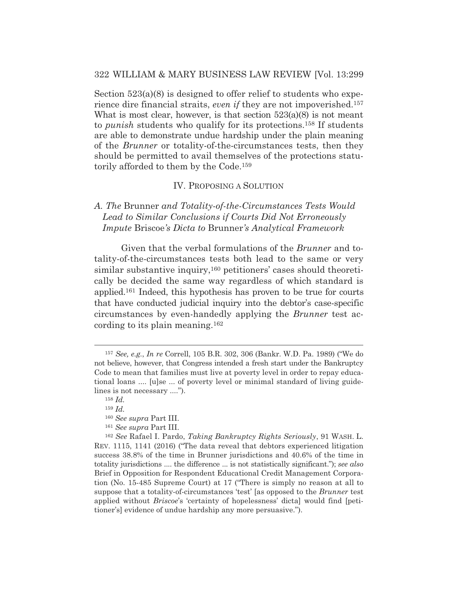Section  $523(a)(8)$  is designed to offer relief to students who experience dire financial straits, *even if* they are not impoverished.157 What is most clear, however, is that section  $523(a)(8)$  is not meant to *punish* students who qualify for its protections.158 If students are able to demonstrate undue hardship under the plain meaning of the *Brunner* or totality-of-the-circumstances tests, then they should be permitted to avail themselves of the protections statutorily afforded to them by the Code.159

#### IV. PROPOSING A SOLUTION

## *A. The* Brunner *and Totality-of-the-Circumstances Tests Would Lead to Similar Conclusions if Courts Did Not Erroneously Impute* Briscoe*'s Dicta to* Brunner*'s Analytical Framework*

Given that the verbal formulations of the *Brunner* and totality-of-the-circumstances tests both lead to the same or very similar substantive inquiry,<sup>160</sup> petitioners' cases should theoretically be decided the same way regardless of which standard is applied.161 Indeed, this hypothesis has proven to be true for courts that have conducted judicial inquiry into the debtor's case-specific circumstances by even-handedly applying the *Brunner* test according to its plain meaning.162

<sup>161</sup> *See supra* Part III.

<sup>162</sup> *See* Rafael I. Pardo, *Taking Bankruptcy Rights Seriously*, 91 WASH. L. REV. 1115, 1141 (2016) ("The data reveal that debtors experienced litigation success 38.8% of the time in Brunner jurisdictions and 40.6% of the time in totality jurisdictions .... the difference ... is not statistically significant."); *see also* Brief in Opposition for Respondent Educational Credit Management Corporation (No. 15-485 Supreme Court) at 17 ("There is simply no reason at all to suppose that a totality-of-circumstances 'test' [as opposed to the *Brunner* test applied without *Briscoe*'s 'certainty of hopelessness' dicta] would find [petitioner's] evidence of undue hardship any more persuasive.").

<sup>157</sup> *See, e.g.*, *In re* Correll, 105 B.R. 302, 306 (Bankr. W.D. Pa. 1989) ("We do not believe, however, that Congress intended a fresh start under the Bankruptcy Code to mean that families must live at poverty level in order to repay educational loans .... [u]se ... of poverty level or minimal standard of living guidelines is not necessary ....").

<sup>158</sup> *Id.*

<sup>159</sup> *Id.*

<sup>160</sup> *See supra* Part III.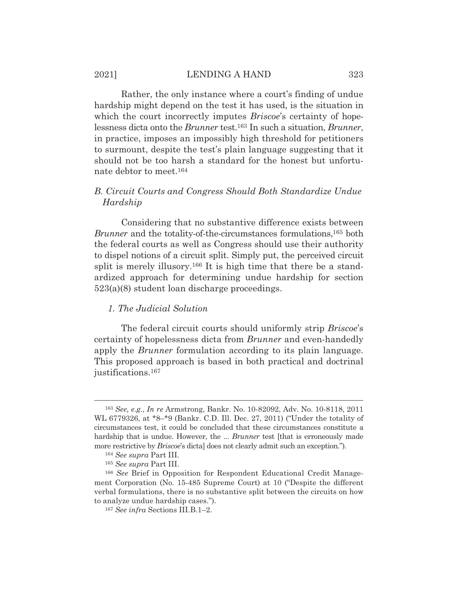#### 2021] LENDING A HAND 323

Rather, the only instance where a court's finding of undue hardship might depend on the test it has used, is the situation in which the court incorrectly imputes *Briscoe*'s certainty of hopelessness dicta onto the *Brunner* test.163 In such a situation, *Brunner*, in practice, imposes an impossibly high threshold for petitioners to surmount, despite the test's plain language suggesting that it should not be too harsh a standard for the honest but unfortunate debtor to meet.164

## *B. Circuit Courts and Congress Should Both Standardize Undue Hardship*

Considering that no substantive difference exists between *Brunner* and the totality-of-the-circumstances formulations,<sup>165</sup> both the federal courts as well as Congress should use their authority to dispel notions of a circuit split. Simply put, the perceived circuit split is merely illusory.<sup>166</sup> It is high time that there be a standardized approach for determining undue hardship for section 523(a)(8) student loan discharge proceedings.

#### *1. The Judicial Solution*

The federal circuit courts should uniformly strip *Briscoe*'s certainty of hopelessness dicta from *Brunner* and even-handedly apply the *Brunner* formulation according to its plain language. This proposed approach is based in both practical and doctrinal justifications.167

<sup>163</sup> *See, e.g.*, *In re* Armstrong, Bankr. No. 10-82092, Adv. No. 10-8118, 2011 WL 6779326, at \*8–\*9 (Bankr. C.D. Ill. Dec. 27, 2011) ("Under the totality of circumstances test, it could be concluded that these circumstances constitute a hardship that is undue. However, the ... *Brunner* test [that is erroneously made more restrictive by *Briscoe*'s dicta] does not clearly admit such an exception.").

<sup>164</sup> *See supra* Part III.

<sup>165</sup> *See supra* Part III.

<sup>166</sup> *See* Brief in Opposition for Respondent Educational Credit Management Corporation (No. 15-485 Supreme Court) at 10 ("Despite the different verbal formulations, there is no substantive split between the circuits on how to analyze undue hardship cases.").

<sup>167</sup> *See infra* Sections III.B.1–2.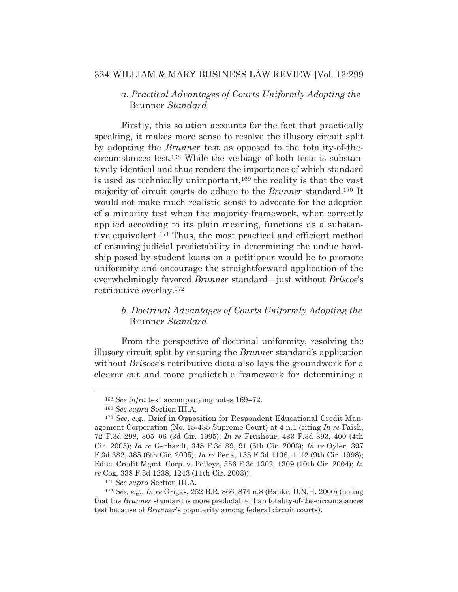## *a. Practical Advantages of Courts Uniformly Adopting the*  Brunner *Standard*

Firstly, this solution accounts for the fact that practically speaking, it makes more sense to resolve the illusory circuit split by adopting the *Brunner* test as opposed to the totality-of-thecircumstances test.168 While the verbiage of both tests is substantively identical and thus renders the importance of which standard is used as technically unimportant,169 the reality is that the vast majority of circuit courts do adhere to the *Brunner* standard.170 It would not make much realistic sense to advocate for the adoption of a minority test when the majority framework, when correctly applied according to its plain meaning, functions as a substantive equivalent.171 Thus, the most practical and efficient method of ensuring judicial predictability in determining the undue hardship posed by student loans on a petitioner would be to promote uniformity and encourage the straightforward application of the overwhelmingly favored *Brunner* standard—just without *Briscoe*'s retributive overlay.172

## *b. Doctrinal Advantages of Courts Uniformly Adopting the*  Brunner *Standard*

From the perspective of doctrinal uniformity, resolving the illusory circuit split by ensuring the *Brunner* standard's application without *Briscoe*'s retributive dicta also lays the groundwork for a clearer cut and more predictable framework for determining a

<sup>168</sup> *See infra* text accompanying notes 169–72.

<sup>169</sup> *See supra* Section III.A.

<sup>170</sup> *See, e.g.*, Brief in Opposition for Respondent Educational Credit Management Corporation (No. 15-485 Supreme Court) at 4 n.1 (citing *In re* Faish, 72 F.3d 298, 305–06 (3d Cir. 1995); *In re* Frushour, 433 F.3d 393, 400 (4th Cir. 2005); *In re* Gerhardt, 348 F.3d 89, 91 (5th Cir. 2003); *In re* Oyler, 397 F.3d 382, 385 (6th Cir. 2005); *In re* Pena, 155 F.3d 1108, 1112 (9th Cir. 1998); Educ. Credit Mgmt. Corp. v. Polleys, 356 F.3d 1302, 1309 (10th Cir. 2004); *In re* Cox, 338 F.3d 1238, 1243 (11th Cir. 2003)).

<sup>171</sup> *See supra* Section III.A.

<sup>172</sup> *See, e.g.*, *In re* Grigas, 252 B.R. 866, 874 n.8 (Bankr. D.N.H. 2000) (noting that the *Brunner* standard is more predictable than totality-of-the-circumstances test because of *Brunner*'s popularity among federal circuit courts).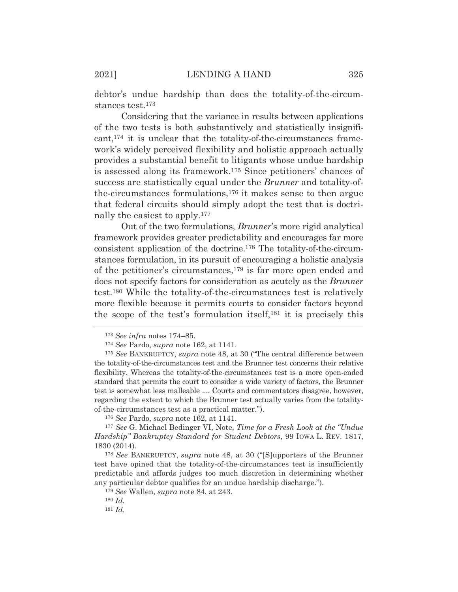debtor's undue hardship than does the totality-of-the-circumstances test.173

Considering that the variance in results between applications of the two tests is both substantively and statistically insignificant,174 it is unclear that the totality-of-the-circumstances framework's widely perceived flexibility and holistic approach actually provides a substantial benefit to litigants whose undue hardship is assessed along its framework.175 Since petitioners' chances of success are statistically equal under the *Brunner* and totality-ofthe-circumstances formulations,176 it makes sense to then argue that federal circuits should simply adopt the test that is doctrinally the easiest to apply.177

Out of the two formulations, *Brunner*'s more rigid analytical framework provides greater predictability and encourages far more consistent application of the doctrine.178 The totality-of-the-circumstances formulation, in its pursuit of encouraging a holistic analysis of the petitioner's circumstances,179 is far more open ended and does not specify factors for consideration as acutely as the *Brunner* test.180 While the totality-of-the-circumstances test is relatively more flexible because it permits courts to consider factors beyond the scope of the test's formulation itself,181 it is precisely this

<sup>173</sup> *See infra* notes 174–85.

<sup>174</sup> *See* Pardo, *supra* note 162, at 1141.

<sup>175</sup> *See* BANKRUPTCY, *supra* note 48, at 30 ("The central difference between the totality-of-the-circumstances test and the Brunner test concerns their relative flexibility. Whereas the totality-of-the-circumstances test is a more open-ended standard that permits the court to consider a wide variety of factors, the Brunner test is somewhat less malleable .... Courts and commentators disagree, however, regarding the extent to which the Brunner test actually varies from the totalityof-the-circumstances test as a practical matter.").

<sup>176</sup> *See* Pardo, *supra* note 162, at 1141.

<sup>177</sup> *See* G. Michael Bedinger VI, Note, *Time for a Fresh Look at the "Undue Hardship" Bankruptcy Standard for Student Debtors*, 99 IOWA L. REV. 1817, 1830 (2014).

<sup>178</sup> *See* BANKRUPTCY, *supra* note 48, at 30 ("[S]upporters of the Brunner test have opined that the totality-of-the-circumstances test is insufficiently predictable and affords judges too much discretion in determining whether any particular debtor qualifies for an undue hardship discharge.").

<sup>179</sup> *See* Wallen, *supra* note 84, at 243.

<sup>180</sup> *Id.*

<sup>181</sup> *Id.*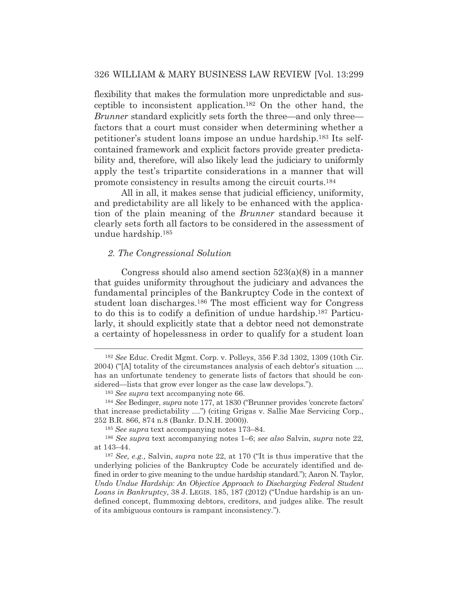flexibility that makes the formulation more unpredictable and susceptible to inconsistent application.182 On the other hand, the *Brunner* standard explicitly sets forth the three—and only three factors that a court must consider when determining whether a petitioner's student loans impose an undue hardship.183 Its selfcontained framework and explicit factors provide greater predictability and, therefore, will also likely lead the judiciary to uniformly apply the test's tripartite considerations in a manner that will promote consistency in results among the circuit courts.184

All in all, it makes sense that judicial efficiency, uniformity, and predictability are all likely to be enhanced with the application of the plain meaning of the *Brunner* standard because it clearly sets forth all factors to be considered in the assessment of undue hardship.185

#### *2. The Congressional Solution*

Congress should also amend section 523(a)(8) in a manner that guides uniformity throughout the judiciary and advances the fundamental principles of the Bankruptcy Code in the context of student loan discharges.186 The most efficient way for Congress to do this is to codify a definition of undue hardship.187 Particularly, it should explicitly state that a debtor need not demonstrate a certainty of hopelessness in order to qualify for a student loan

<sup>182</sup> *See* Educ. Credit Mgmt. Corp. v. Polleys, 356 F.3d 1302, 1309 (10th Cir. 2004) ("[A] totality of the circumstances analysis of each debtor's situation .... has an unfortunate tendency to generate lists of factors that should be considered—lists that grow ever longer as the case law develops.").

<sup>183</sup> *See supra* text accompanying note 66.

<sup>184</sup> *See* Bedinger, *supra* note 177, at 1830 ("Brunner provides 'concrete factors' that increase predictability ....") (citing Grigas v. Sallie Mae Servicing Corp., 252 B.R. 866, 874 n.8 (Bankr. D.N.H. 2000)).

<sup>185</sup> *See supra* text accompanying notes 173–84.

<sup>186</sup> *See supra* text accompanying notes 1–6; *see also* Salvin, *supra* note 22, at 143–44.

<sup>187</sup> *See, e.g.,* Salvin, *supra* note 22, at 170 ("It is thus imperative that the underlying policies of the Bankruptcy Code be accurately identified and defined in order to give meaning to the undue hardship standard."); Aaron N. Taylor, *Undo Undue Hardship: An Objective Approach to Discharging Federal Student Loans in Bankruptcy*, 38 J. LEGIS. 185, 187 (2012) ("Undue hardship is an undefined concept, flummoxing debtors, creditors, and judges alike. The result of its ambiguous contours is rampant inconsistency.").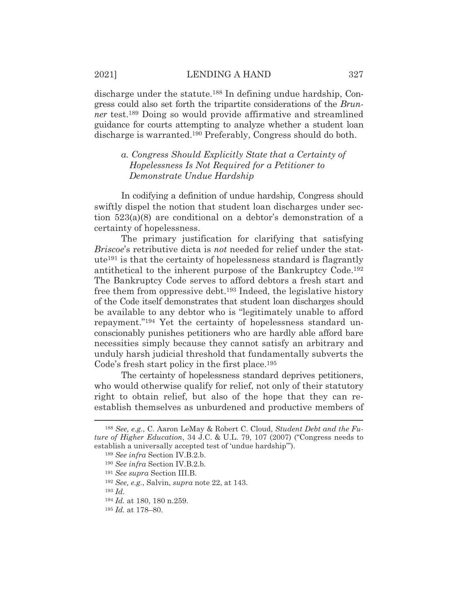discharge under the statute.188 In defining undue hardship, Congress could also set forth the tripartite considerations of the *Brunner* test.189 Doing so would provide affirmative and streamlined guidance for courts attempting to analyze whether a student loan discharge is warranted.190 Preferably, Congress should do both.

## *a. Congress Should Explicitly State that a Certainty of Hopelessness Is Not Required for a Petitioner to Demonstrate Undue Hardship*

In codifying a definition of undue hardship, Congress should swiftly dispel the notion that student loan discharges under section 523(a)(8) are conditional on a debtor's demonstration of a certainty of hopelessness.

The primary justification for clarifying that satisfying *Briscoe*'s retributive dicta is *not* needed for relief under the statute191 is that the certainty of hopelessness standard is flagrantly antithetical to the inherent purpose of the Bankruptcy Code.192 The Bankruptcy Code serves to afford debtors a fresh start and free them from oppressive debt.193 Indeed, the legislative history of the Code itself demonstrates that student loan discharges should be available to any debtor who is "legitimately unable to afford repayment."194 Yet the certainty of hopelessness standard unconscionably punishes petitioners who are hardly able afford bare necessities simply because they cannot satisfy an arbitrary and unduly harsh judicial threshold that fundamentally subverts the Code's fresh start policy in the first place.195

The certainty of hopelessness standard deprives petitioners, who would otherwise qualify for relief, not only of their statutory right to obtain relief, but also of the hope that they can reestablish themselves as unburdened and productive members of

<sup>188</sup> *See, e.g.*, C. Aaron LeMay & Robert C. Cloud, *Student Debt and the Future of Higher Education*, 34 J.C. & U.L. 79, 107 (2007) ("Congress needs to establish a universally accepted test of 'undue hardship'").

<sup>189</sup> *See infra* Section IV.B.2.b.

<sup>190</sup> *See infra* Section IV.B.2.b.

<sup>191</sup> *See supra* Section III.B.

<sup>192</sup> *See, e.g.*, Salvin, *supra* note 22, at 143.

<sup>193</sup> *Id.*

<sup>194</sup> *Id.* at 180, 180 n.259.

<sup>195</sup> *Id.* at 178–80.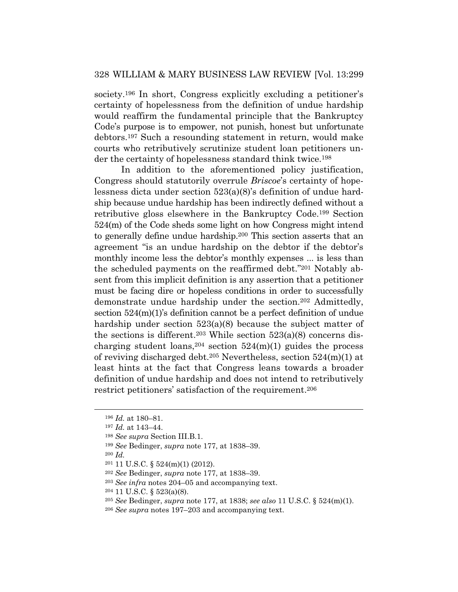society.196 In short, Congress explicitly excluding a petitioner's certainty of hopelessness from the definition of undue hardship would reaffirm the fundamental principle that the Bankruptcy Code's purpose is to empower, not punish, honest but unfortunate debtors.197 Such a resounding statement in return, would make courts who retributively scrutinize student loan petitioners under the certainty of hopelessness standard think twice.198

In addition to the aforementioned policy justification, Congress should statutorily overrule *Briscoe*'s certainty of hopelessness dicta under section 523(a)(8)'s definition of undue hardship because undue hardship has been indirectly defined without a retributive gloss elsewhere in the Bankruptcy Code.199 Section 524(m) of the Code sheds some light on how Congress might intend to generally define undue hardship.200 This section asserts that an agreement "is an undue hardship on the debtor if the debtor's monthly income less the debtor's monthly expenses ... is less than the scheduled payments on the reaffirmed debt."201 Notably absent from this implicit definition is any assertion that a petitioner must be facing dire or hopeless conditions in order to successfully demonstrate undue hardship under the section.202 Admittedly, section 524(m)(1)'s definition cannot be a perfect definition of undue hardship under section 523(a)(8) because the subject matter of the sections is different.<sup>203</sup> While section  $523(a)(8)$  concerns discharging student loans,<sup>204</sup> section  $524(m)(1)$  guides the process of reviving discharged debt.205 Nevertheless, section 524(m)(1) at least hints at the fact that Congress leans towards a broader definition of undue hardship and does not intend to retributively restrict petitioners' satisfaction of the requirement.206

<sup>199</sup> *See* Bedinger, *supra* note 177, at 1838–39.

<sup>200</sup> *Id.*

<sup>196</sup> *Id.* at 180–81.

<sup>197</sup> *Id.* at 143–44.

<sup>198</sup> *See supra* Section III.B.1.

<sup>201 11</sup> U.S.C. § 524(m)(1) (2012).

<sup>202</sup> *See* Bedinger, *supra* note 177, at 1838–39.

<sup>203</sup> *See infra* notes 204–05 and accompanying text.

<sup>204 11</sup> U.S.C. § 523(a)(8).

<sup>205</sup> *See* Bedinger, *supra* note 177, at 1838; *see also* 11 U.S.C. § 524(m)(1).

<sup>206</sup> *See supra* notes 197–203 and accompanying text.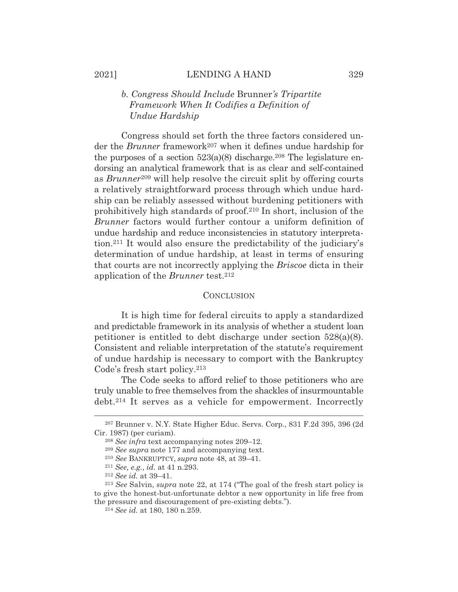## *b. Congress Should Include* Brunner*'s Tripartite Framework When It Codifies a Definition of Undue Hardship*

Congress should set forth the three factors considered under the *Brunner* framework207 when it defines undue hardship for the purposes of a section  $523(a)(8)$  discharge.<sup>208</sup> The legislature endorsing an analytical framework that is as clear and self-contained as *Brunner*<sup>209</sup> will help resolve the circuit split by offering courts a relatively straightforward process through which undue hardship can be reliably assessed without burdening petitioners with prohibitively high standards of proof.210 In short, inclusion of the *Brunner* factors would further contour a uniform definition of undue hardship and reduce inconsistencies in statutory interpretation.211 It would also ensure the predictability of the judiciary's determination of undue hardship, at least in terms of ensuring that courts are not incorrectly applying the *Briscoe* dicta in their application of the *Brunner* test.212

#### **CONCLUSION**

It is high time for federal circuits to apply a standardized and predictable framework in its analysis of whether a student loan petitioner is entitled to debt discharge under section 528(a)(8). Consistent and reliable interpretation of the statute's requirement of undue hardship is necessary to comport with the Bankruptcy Code's fresh start policy.213

The Code seeks to afford relief to those petitioners who are truly unable to free themselves from the shackles of insurmountable debt.214 It serves as a vehicle for empowerment. Incorrectly

<sup>207</sup> Brunner v. N.Y. State Higher Educ. Servs. Corp., 831 F.2d 395, 396 (2d Cir. 1987) (per curiam).

<sup>208</sup> *See infra* text accompanying notes 209–12.

<sup>209</sup> *See supra* note 177 and accompanying text.

<sup>210</sup> *See* BANKRUPTCY, *supra* note 48, at 39–41. 211 *See, e.g.*, *id.* at 41 n.293. 212 *See id.* at 39–41.

<sup>213</sup> *See* Salvin, *supra* note 22, at 174 ("The goal of the fresh start policy is to give the honest-but-unfortunate debtor a new opportunity in life free from the pressure and discouragement of pre-existing debts."). 214 *See id.* at 180, 180 n.259.